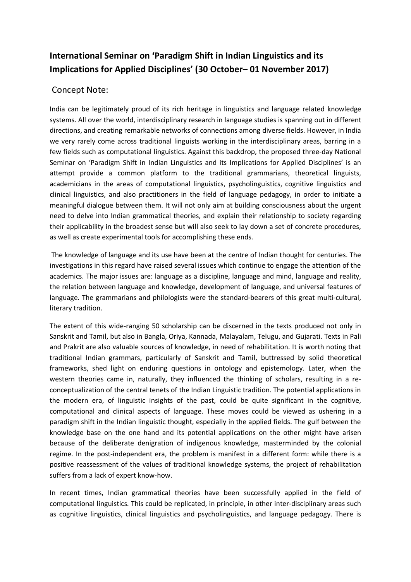## **International Seminar on 'Paradigm Shift in Indian Linguistics and its Implications for Applied Disciplines' (30 October– 01 November 2017)**

## Concept Note:

India can be legitimately proud of its rich heritage in linguistics and language related knowledge systems. All over the world, interdisciplinary research in language studies is spanning out in different directions, and creating remarkable networks of connections among diverse fields. However, in India we very rarely come across traditional linguists working in the interdisciplinary areas, barring in a few fields such as computational linguistics. Against this backdrop, the proposed three-day National Seminar on 'Paradigm Shift in Indian Linguistics and its Implications for Applied Disciplines' is an attempt provide a common platform to the traditional grammarians, theoretical linguists, academicians in the areas of computational linguistics, psycholinguistics, cognitive linguistics and clinical linguistics, and also practitioners in the field of language pedagogy, in order to initiate a meaningful dialogue between them. It will not only aim at building consciousness about the urgent need to delve into Indian grammatical theories, and explain their relationship to society regarding their applicability in the broadest sense but will also seek to lay down a set of concrete procedures, as well as create experimental tools for accomplishing these ends.

The knowledge of language and its use have been at the centre of Indian thought for centuries. The investigations in this regard have raised several issues which continue to engage the attention of the academics. The major issues are: language as a discipline, language and mind, language and reality, the relation between language and knowledge, development of language, and universal features of language. The grammarians and philologists were the standard-bearers of this great multi-cultural, literary tradition.

The extent of this wide-ranging 50 scholarship can be discerned in the texts produced not only in Sanskrit and Tamil, but also in Bangla, Oriya, Kannada, Malayalam, Telugu, and Gujarati. Texts in Pali and Prakrit are also valuable sources of knowledge, in need of rehabilitation. It is worth noting that traditional Indian grammars, particularly of Sanskrit and Tamil, buttressed by solid theoretical frameworks, shed light on enduring questions in ontology and epistemology. Later, when the western theories came in, naturally, they influenced the thinking of scholars, resulting in a reconceptualization of the central tenets of the Indian Linguistic tradition. The potential applications in the modern era, of linguistic insights of the past, could be quite significant in the cognitive, computational and clinical aspects of language. These moves could be viewed as ushering in a paradigm shift in the Indian linguistic thought, especially in the applied fields. The gulf between the knowledge base on the one hand and its potential applications on the other might have arisen because of the deliberate denigration of indigenous knowledge, masterminded by the colonial regime. In the post-independent era, the problem is manifest in a different form: while there is a positive reassessment of the values of traditional knowledge systems, the project of rehabilitation suffers from a lack of expert know-how.

In recent times, Indian grammatical theories have been successfully applied in the field of computational linguistics. This could be replicated, in principle, in other inter-disciplinary areas such as cognitive linguistics, clinical linguistics and psycholinguistics, and language pedagogy. There is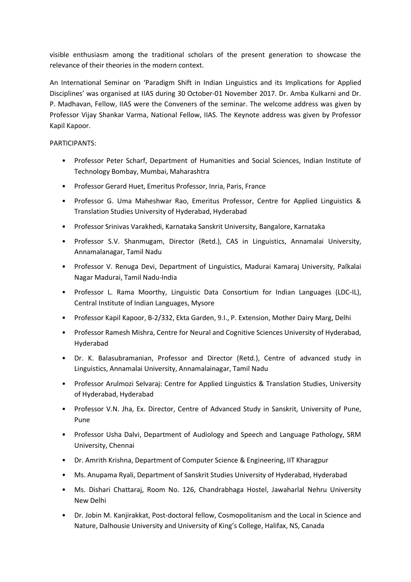visible enthusiasm among the traditional scholars of the present generation to showcase the relevance of their theories in the modern context.

An International Seminar on 'Paradigm Shift in Indian Linguistics and its Implications for Applied Disciplines' was organised at IIAS during 30 October-01 November 2017. Dr. Amba Kulkarni and Dr. P. Madhavan, Fellow, IIAS were the Conveners of the seminar. The welcome address was given by Professor Vijay Shankar Varma, National Fellow, IIAS. The Keynote address was given by Professor Kapil Kapoor.

## PARTICIPANTS:

- Professor Peter Scharf, Department of Humanities and Social Sciences, Indian Institute of Technology Bombay, Mumbai, Maharashtra
- Professor Gerard Huet, Emeritus Professor, Inria, Paris, France
- Professor G. Uma Maheshwar Rao, Emeritus Professor, Centre for Applied Linguistics & Translation Studies University of Hyderabad, Hyderabad
- Professor Srinivas Varakhedi, Karnataka Sanskrit University, Bangalore, Karnataka
- Professor S.V. Shanmugam, Director (Retd.), CAS in Linguistics, Annamalai University, Annamalanagar, Tamil Nadu
- Professor V. Renuga Devi, Department of Linguistics, Madurai Kamaraj University, Palkalai Nagar Madurai, Tamil Nadu-India
- Professor L. Rama Moorthy, Linguistic Data Consortium for Indian Languages (LDC-IL), Central Institute of Indian Languages, Mysore
- Professor Kapil Kapoor, B-2/332, Ekta Garden, 9.I., P. Extension, Mother Dairy Marg, Delhi
- Professor Ramesh Mishra, Centre for Neural and Cognitive Sciences University of Hyderabad, Hyderabad
- Dr. K. Balasubramanian, Professor and Director (Retd.), Centre of advanced study in Linguistics, Annamalai University, Annamalainagar, Tamil Nadu
- Professor Arulmozi Selvaraj: Centre for Applied Linguistics & Translation Studies, University of Hyderabad, Hyderabad
- Professor V.N. Jha, Ex. Director, Centre of Advanced Study in Sanskrit, University of Pune, Pune
- Professor Usha Dalvi, Department of Audiology and Speech and Language Pathology, SRM University, Chennai
- Dr. Amrith Krishna, Department of Computer Science & Engineering, IIT Kharagpur
- Ms. Anupama Ryali, Department of Sanskrit Studies University of Hyderabad, Hyderabad
- Ms. Dishari Chattaraj, Room No. 126, Chandrabhaga Hostel, Jawaharlal Nehru University New Delhi
- Dr. Jobin M. Kanjirakkat, Post-doctoral fellow, Cosmopolitanism and the Local in Science and Nature, Dalhousie University and University of King's College, Halifax, NS, Canada